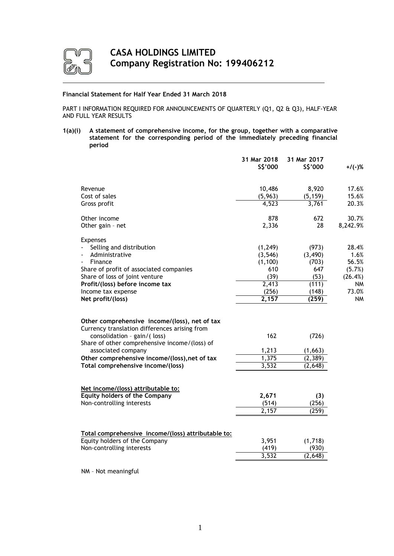

# **Financial Statement for Half Year Ended 31 March 2018**

PART I INFORMATION REQUIRED FOR ANNOUNCEMENTS OF QUARTERLY (Q1, Q2 & Q3), HALF-YEAR AND FULL YEAR RESULTS

**1(a)(i) A statement of comprehensive income, for the group, together with a comparative statement for the corresponding period of the immediately preceding financial period**

|                                                                            | 31 Mar 2018<br>\$\$'000 | 31 Mar 2017<br>\$\$'000 | $+$ /(-)% |
|----------------------------------------------------------------------------|-------------------------|-------------------------|-----------|
|                                                                            |                         |                         |           |
| Revenue                                                                    | 10,486                  | 8,920                   | 17.6%     |
| Cost of sales                                                              | (5,963)                 | (5, 159)                | 15.6%     |
| Gross profit                                                               | 4,523                   | 3,761                   | 20.3%     |
| Other income                                                               | 878                     | 672                     | 30.7%     |
| Other gain - net                                                           | 2,336                   | 28                      | 8,242.9%  |
| <b>Expenses</b>                                                            |                         |                         |           |
| Selling and distribution                                                   | (1, 249)                | (973)                   | 28.4%     |
| Administrative                                                             | (3, 546)                | (3, 490)                | 1.6%      |
| Finance                                                                    | (1, 100)                | (703)                   | 56.5%     |
| Share of profit of associated companies                                    | 610                     | 647                     | (5.7%)    |
| Share of loss of joint venture                                             | (39)                    | (53)                    | (26.4%)   |
| Profit/(loss) before income tax                                            | 2,413                   | (111)                   | <b>NM</b> |
| Income tax expense                                                         | (256)<br>2,157          | (148)                   | 73.0%     |
| Net profit/(loss)                                                          |                         | (259)                   | <b>NM</b> |
| Other comprehensive income/(loss), net of tax                              |                         |                         |           |
| Currency translation differences arising from                              |                         |                         |           |
| consolidation - gain/(loss)                                                | 162                     | (726)                   |           |
| Share of other comprehensive income/(loss) of                              |                         |                         |           |
| associated company                                                         | 1,213                   | (1,663)                 |           |
| Other comprehensive income/(loss), net of tax                              | 1,375                   | (2, 389)                |           |
| Total comprehensive income/(loss)                                          | 3,532                   | (2,648)                 |           |
|                                                                            |                         |                         |           |
| Net income/(loss) attributable to:<br><b>Equity holders of the Company</b> | 2,671                   |                         |           |
| Non-controlling interests                                                  | (514)                   | (3)<br>(256)            |           |
|                                                                            | 2,157                   | (259)                   |           |
|                                                                            |                         |                         |           |
| Total comprehensive income/(loss) attributable to:                         |                         |                         |           |
| Equity holders of the Company                                              | 3,951                   | (1,718)                 |           |
| Non-controlling interests                                                  | (419)                   | (930)                   |           |
|                                                                            | 3,532                   | (2,648)                 |           |
|                                                                            |                         |                         |           |

NM – Not meaningful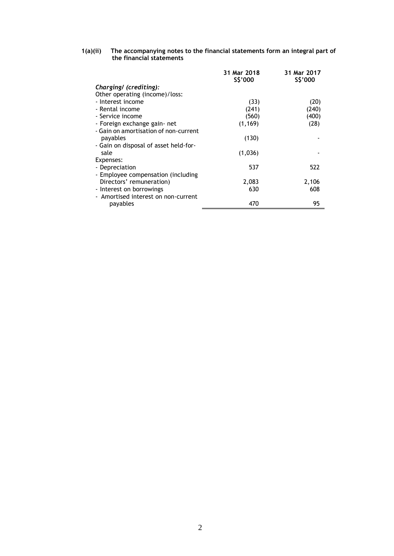### **1(a)(ii) The accompanying notes to the financial statements form an integral part of the financial statements**

|                                       | 31 Mar 2018<br>S\$'000 | 31 Mar 2017<br>\$\$'000 |
|---------------------------------------|------------------------|-------------------------|
| Charging/ (crediting):                |                        |                         |
| Other operating (income)/loss:        |                        |                         |
| - Interest income                     | (33)                   | (20)                    |
| - Rental income                       | (241)                  | (240)                   |
| - Service income                      | (560)                  | (400)                   |
| - Foreign exchange gain- net          | (1, 169)               | (28)                    |
| - Gain on amortisation of non-current |                        |                         |
| payables                              | (130)                  |                         |
| - Gain on disposal of asset held-for- |                        |                         |
| sale                                  | (1,036)                |                         |
| Expenses:                             |                        |                         |
| - Depreciation                        | 537                    | 522                     |
| - Employee compensation (including    |                        |                         |
| Directors' remuneration)              | 2,083                  | 2,106                   |
| - Interest on borrowings              | 630                    | 608                     |
| - Amortised interest on non-current   |                        |                         |
| payables                              | 470                    | 95                      |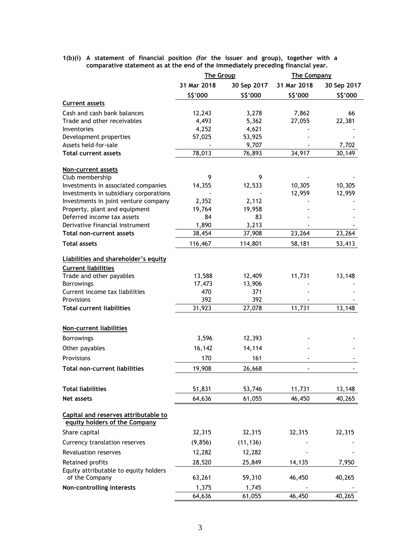**1(b)(i) A statement of financial position (for the issuer and group), together with a comparative statement as at the end of the immediately preceding financial year.**

|                                                                       | <b>The Group</b> |             | <b>The Company</b> |             |
|-----------------------------------------------------------------------|------------------|-------------|--------------------|-------------|
|                                                                       | 31 Mar 2018      | 30 Sep 2017 | 31 Mar 2018        | 30 Sep 2017 |
|                                                                       | \$\$'000         | \$\$'000    | \$\$'000           | \$\$'000    |
| <b>Current assets</b>                                                 |                  |             |                    |             |
| Cash and cash bank balances                                           | 12,243           | 3,278       | 7,862              | 66          |
| Trade and other receivables                                           | 4,493            | 5,362       | 27,055             | 22,381      |
| Inventories                                                           | 4,252            | 4,621       |                    |             |
| Development properties                                                | 57,025           | 53,925      |                    |             |
| Assets held-for-sale                                                  |                  | 9,707       |                    | 7,702       |
| <b>Total current assets</b>                                           | 78,013           | 76,893      | 34,917             | 30,149      |
| <b>Non-current assets</b>                                             |                  |             |                    |             |
| Club membership                                                       | 9                | 9           |                    |             |
| Investments in associated companies                                   | 14,355           | 12,533      | 10,305             | 10,305      |
| Investments in subsidiary corporations                                |                  |             | 12,959             | 12,959      |
| Investments in joint venture company                                  | 2,352            | 2,112       |                    |             |
| Property, plant and equipment                                         | 19,764           | 19,958      |                    |             |
| Deferred income tax assets                                            | 84               | 83          |                    |             |
| Derivative financial instrument                                       | 1,890            | 3,213       |                    |             |
| Total non-current assets                                              | 38,454           | 37,908      | 23,264             | 23,264      |
| <b>Total assets</b>                                                   | 116,467          | 114,801     | 58,181             | 53,413      |
| Liabilities and shareholder's equity                                  |                  |             |                    |             |
| <b>Current liabilities</b>                                            |                  |             |                    |             |
| Trade and other payables                                              | 13,588           | 12,409      | 11,731             | 13,148      |
| <b>Borrowings</b>                                                     | 17,473           | 13,906      |                    |             |
| Current income tax liabilities                                        | 470              | 371         |                    |             |
| Provisions                                                            | 392              | 392         |                    |             |
| <b>Total current liabilities</b>                                      | 31,923           | 27,078      | 11,731             | 13,148      |
|                                                                       |                  |             |                    |             |
| <b>Non-current liabilities</b>                                        |                  |             |                    |             |
| <b>Borrowings</b>                                                     | 3,596            | 12,393      |                    |             |
| Other payables                                                        | 16,142           | 14,114      |                    |             |
| Provisions                                                            | 170              | 161         |                    |             |
| Total non-current liabilities                                         | 19,908           | 26,668      |                    |             |
|                                                                       |                  |             |                    |             |
| <b>Total liabilities</b>                                              | 51,831           | 53,746      | 11,731             | 13,148      |
| Net assets                                                            | 64,636           | 61,055      | 46,450             | 40,265      |
| Capital and reserves attributable to<br>equity holders of the Company |                  |             |                    |             |
| Share capital                                                         | 32,315           | 32,315      | 32,315             | 32,315      |
| Currency translation reserves                                         | (9, 856)         | (11, 136)   |                    |             |
| Revaluation reserves                                                  | 12,282           | 12,282      |                    |             |
| Retained profits                                                      | 28,520           | 25,849      | 14,135             | 7,950       |
| Equity attributable to equity holders                                 |                  |             |                    |             |
| of the Company                                                        | 63,261           | 59,310      | 46,450             | 40,265      |
| Non-controlling interests                                             | 1,375            | 1,745       |                    |             |
|                                                                       | 64,636           | 61,055      | 46,450             | 40,265      |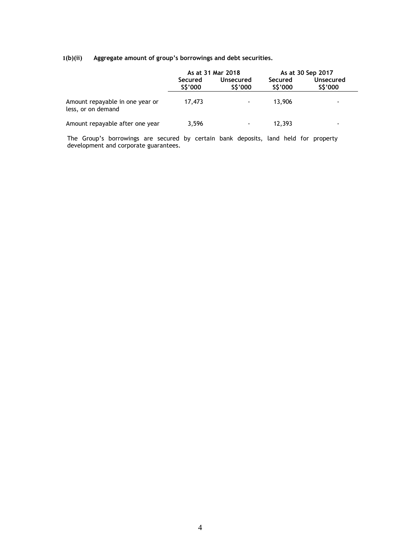# **1(b)(ii) Aggregate amount of group's borrowings and debt securities.**

|                                                       |                                            | As at 31 Mar 2018 | As at 30 Sep 2017  |                      |  |
|-------------------------------------------------------|--------------------------------------------|-------------------|--------------------|----------------------|--|
|                                                       | Secured<br>Unsecured<br>S\$'000<br>S\$'000 |                   | Secured<br>S\$'000 | Unsecured<br>S\$'000 |  |
| Amount repayable in one year or<br>less, or on demand | 17,473                                     | $\blacksquare$    | 13.906             | ۰                    |  |
| Amount repayable after one year                       | 3.596                                      | $\blacksquare$    | 12,393             | $\blacksquare$       |  |

The Group's borrowings are secured by certain bank deposits, land held for property development and corporate guarantees.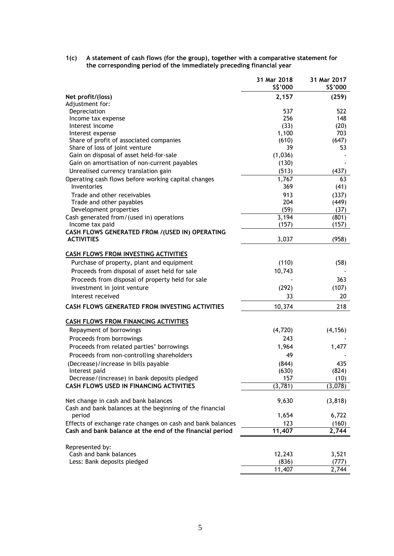**1(c) A statement of cash flows (for the group), together with a comparative statement for the corresponding period of the immediately preceding financial year**

|                                                                                                  | 31 Mar 2018<br>\$\$'000 | 31 Mar 2017<br>\$\$'000 |
|--------------------------------------------------------------------------------------------------|-------------------------|-------------------------|
| Net profit/(loss)<br>Adjustment for:                                                             | 2,157                   | (259)                   |
| Depreciation                                                                                     | 537                     | 522                     |
| Income tax expense                                                                               | 256                     | 148                     |
| Interest income                                                                                  | (33)                    | (20)                    |
| Interest expense                                                                                 | 1,100                   | 703                     |
| Share of profit of associated companies                                                          | (610)                   | (647)                   |
| Share of loss of joint venture                                                                   | 39                      | 53                      |
| Gain on disposal of asset held-for-sale                                                          | (1,036)                 |                         |
| Gain on amortisation of non-current payables                                                     | (130)                   |                         |
| Unrealised currency translation gain                                                             | (513)                   | (437)                   |
| Operating cash flows before working capital changes                                              | 1,767                   | 63                      |
| Inventories                                                                                      | 369                     | (41)                    |
| Trade and other receivables                                                                      | 913                     | (337)                   |
| Trade and other payables                                                                         | 204                     | (449)                   |
| Development properties                                                                           | (59)                    | (37)                    |
| Cash generated from/(used in) operations                                                         | 3,194                   | (801)                   |
| Income tax paid                                                                                  | (157)                   | (157)                   |
| CASH FLOWS GENERATED FROM /(USED IN) OPERATING<br><b>ACTIVITIES</b>                              | 3,037                   | (958)                   |
| <b>CASH FLOWS FROM INVESTING ACTIVITIES</b>                                                      |                         |                         |
|                                                                                                  |                         |                         |
| Purchase of property, plant and equipment                                                        | (110)                   | (58)                    |
| Proceeds from disposal of asset held for sale                                                    | 10,743                  |                         |
| Proceeds from disposal of property held for sale                                                 |                         | 363                     |
| Investment in joint venture                                                                      | (292)                   | (107)                   |
| Interest received                                                                                | 33                      | 20                      |
| CASH FLOWS GENERATED FROM INVESTING ACTIVITIES                                                   | 10,374                  | 218                     |
| <b>CASH FLOWS FROM FINANCING ACTIVITIES</b>                                                      |                         |                         |
| Repayment of borrowings                                                                          | (4, 720)                | (4, 156)                |
| Proceeds from borrowings                                                                         | 243                     |                         |
| Proceeds from related parties' borrowings                                                        | 1,964                   | 1,477                   |
| Proceeds from non-controlling shareholders                                                       | 49                      |                         |
| (Decrease)/increase in bills payable                                                             | (844)                   | 435                     |
| Interest paid                                                                                    | (630)                   | (824)                   |
| Decrease/(increase) in bank deposits pledged                                                     | 157                     | (10)                    |
| <b>CASH FLOWS USED IN FINANCING ACTIVITIES</b>                                                   | (3,781)                 | (3,078)                 |
| Net change in cash and bank balances<br>Cash and bank balances at the beginning of the financial | 9,630                   | (3, 818)                |
| period                                                                                           | 1,654                   | 6,722                   |
| Effects of exchange rate changes on cash and bank balances                                       | 123                     | (160)                   |
| Cash and bank balance at the end of the financial period                                         | 11,407                  | 2,744                   |
|                                                                                                  |                         |                         |
| Represented by:                                                                                  |                         |                         |
| Cash and bank balances                                                                           | 12,243                  | 3,521                   |
| Less: Bank deposits pledged                                                                      | (836)                   | (777)                   |
|                                                                                                  | 11,407                  | 2,744                   |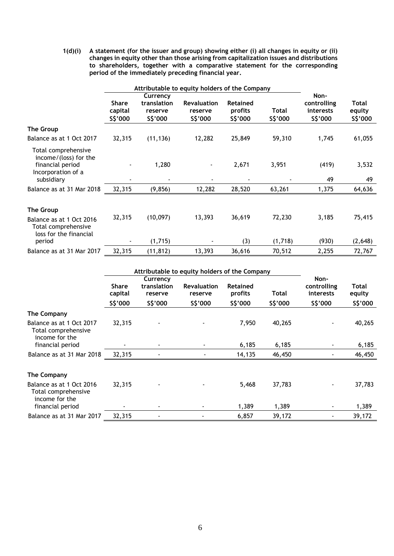**1(d)(i) A statement (for the issuer and group) showing either (i) all changes in equity or (ii) changes in equity other than those arising from capitalization issues and distributions to shareholders, together with a comparative statement for the corresponding period of the immediately preceding financial year.** 

|                                                                                                      | Attributable to equity holders of the Company |                                                |                                           |                                 |                   |                                              |                                    |
|------------------------------------------------------------------------------------------------------|-----------------------------------------------|------------------------------------------------|-------------------------------------------|---------------------------------|-------------------|----------------------------------------------|------------------------------------|
|                                                                                                      | <b>Share</b><br>capital<br>\$\$'000           | Currency<br>translation<br>reserve<br>\$\$'000 | <b>Revaluation</b><br>reserve<br>\$\$'000 | Retained<br>profits<br>\$\$'000 | Total<br>\$\$'000 | Non-<br>controlling<br>interests<br>\$\$'000 | <b>Total</b><br>equity<br>\$\$'000 |
| The Group                                                                                            |                                               |                                                |                                           |                                 |                   |                                              |                                    |
| Balance as at 1 Oct 2017                                                                             | 32,315                                        | (11, 136)                                      | 12,282                                    | 25,849                          | 59,310            | 1,745                                        | 61,055                             |
| Total comprehensive<br>income/(loss) for the<br>financial period<br>Incorporation of a<br>subsidiary |                                               | 1,280                                          |                                           | 2,671                           | 3,951             | (419)<br>49                                  | 3,532<br>49                        |
| Balance as at 31 Mar 2018                                                                            | 32,315                                        | (9, 856)                                       | 12,282                                    | 28,520                          | 63,261            | 1,375                                        | 64,636                             |
| The Group<br>Balance as at 1 Oct 2016<br>Total comprehensive<br>loss for the financial               | 32,315                                        | (10,097)                                       | 13,393                                    | 36,619                          | 72,230            | 3,185                                        | 75,415                             |
| period                                                                                               |                                               | (1,715)                                        |                                           | (3)                             | (1,718)           | (930)                                        | (2,648)                            |
| Balance as at 31 Mar 2017                                                                            | 32,315                                        | (11, 812)                                      | 13,393                                    | 36,616                          | 70,512            | 2,255                                        | 72,767                             |

|                                                                   |                         | Attributable to equity holders of the Company |                               |                     |          |                                  |                 |
|-------------------------------------------------------------------|-------------------------|-----------------------------------------------|-------------------------------|---------------------|----------|----------------------------------|-----------------|
|                                                                   | <b>Share</b><br>capital | Currency<br>translation<br>reserve            | <b>Revaluation</b><br>reserve | Retained<br>profits | Total    | Non-<br>controlling<br>interests | Total<br>equity |
|                                                                   | S\$'000                 | \$\$'000                                      | \$\$'000                      | \$\$'000            | \$\$'000 | \$\$'000                         | \$\$'000        |
| The Company                                                       |                         |                                               |                               |                     |          |                                  |                 |
| Balance as at 1 Oct 2017<br>Total comprehensive<br>income for the | 32,315                  |                                               |                               | 7,950               | 40,265   | $\blacksquare$                   | 40,265          |
| financial period                                                  |                         |                                               |                               | 6,185               | 6,185    |                                  | 6,185           |
| Balance as at 31 Mar 2018                                         | 32,315                  |                                               |                               | 14,135              | 46,450   |                                  | 46,450          |
| The Company                                                       |                         |                                               |                               |                     |          |                                  |                 |
| Balance as at 1 Oct 2016<br>Total comprehensive<br>income for the | 32,315                  |                                               |                               | 5,468               | 37,783   |                                  | 37,783          |
| financial period                                                  |                         |                                               |                               | 1,389               | 1,389    | $\blacksquare$                   | 1,389           |
| Balance as at 31 Mar 2017                                         | 32,315                  |                                               |                               | 6,857               | 39,172   | $\blacksquare$                   | 39,172          |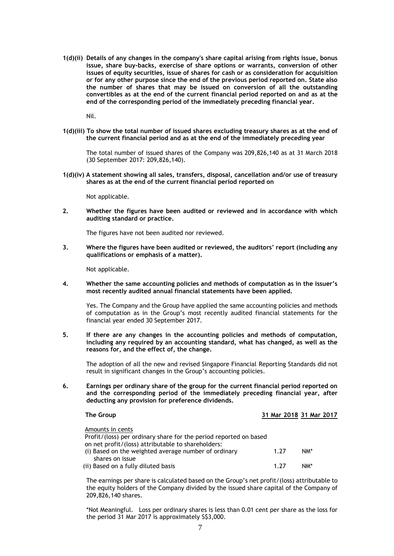**1(d)(ii) Details of any changes in the company's share capital arising from rights issue, bonus issue, share buy-backs, exercise of share options or warrants, conversion of other issues of equity securities, issue of shares for cash or as consideration for acquisition or for any other purpose since the end of the previous period reported on. State also the number of shares that may be issued on conversion of all the outstanding convertibles as at the end of the current financial period reported on and as at the end of the corresponding period of the immediately preceding financial year.** 

Nil.

**1(d)(iii) To show the total number of issued shares excluding treasury shares as at the end of the current financial period and as at the end of the immediately preceding year**

The total number of issued shares of the Company was 209,826,140 as at 31 March 2018 (30 September 2017: 209,826,140).

**1(d)(iv) A statement showing all sales, transfers, disposal, cancellation and/or use of treasury shares as at the end of the current financial period reported on**

Not applicable.

**2. Whether the figures have been audited or reviewed and in accordance with which auditing standard or practice.** 

The figures have not been audited nor reviewed.

**3. Where the figures have been audited or reviewed, the auditors' report (including any qualifications or emphasis of a matter).** 

Not applicable.

**4. Whether the same accounting policies and methods of computation as in the issuer's most recently audited annual financial statements have been applied.** 

Yes. The Company and the Group have applied the same accounting policies and methods of computation as in the Group's most recently audited financial statements for the financial year ended 30 September 2017.

**5. If there are any changes in the accounting policies and methods of computation, including any required by an accounting standard, what has changed, as well as the reasons for, and the effect of, the change.** 

The adoption of all the new and revised Singapore Financial Reporting Standards did not result in significant changes in the Group's accounting policies.

**6. Earnings per ordinary share of the group for the current financial period reported on and the corresponding period of the immediately preceding financial year, after deducting any provision for preference dividends.** 

| The Group                                                         |      |     | 31 Mar 2018 31 Mar 2017 |  |
|-------------------------------------------------------------------|------|-----|-------------------------|--|
| Amounts in cents                                                  |      |     |                         |  |
| Profit/(loss) per ordinary share for the period reported on based |      |     |                         |  |
| on net profit/(loss) attributable to shareholders:                |      |     |                         |  |
| (i) Based on the weighted average number of ordinary              | 1.27 | NM* |                         |  |
| shares on issue                                                   |      |     |                         |  |
| (ii) Based on a fully diluted basis                               | 177  | NM* |                         |  |

The earnings per share is calculated based on the Group's net profit/(loss) attributable to the equity holders of the Company divided by the issued share capital of the Company of 209,826,140 shares.

\*Not Meaningful. Loss per ordinary shares is less than 0.01 cent per share as the loss for the period 31 Mar 2017 is approximately S\$3,000.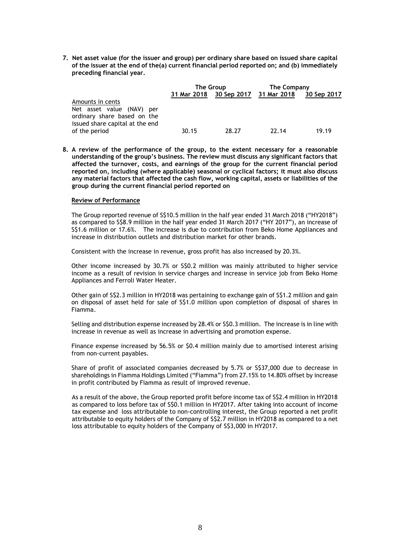**7. Net asset value (for the issuer and group) per ordinary share based on issued share capital of the issuer at the end of the(a) current financial period reported on; and (b) immediately preceding financial year.** 

|                                                                                                                 |             | The Group   | The Company  |             |
|-----------------------------------------------------------------------------------------------------------------|-------------|-------------|--------------|-------------|
|                                                                                                                 | 31 Mar 2018 | 30 Sep 2017 | 31 Mar 2018  | 30 Sep 2017 |
| Amounts in cents<br>Net asset value (NAV) per<br>ordinary share based on the<br>issued share capital at the end |             |             |              |             |
| of the period                                                                                                   | 30.15       | 28.27       | <b>22.14</b> | 19.19       |

**8. A review of the performance of the group, to the extent necessary for a reasonable understanding of the group's business. The review must discuss any significant factors that affected the turnover, costs, and earnings of the group for the current financial period reported on, including (where applicable) seasonal or cyclical factors; it must also discuss any material factors that affected the cash flow, working capital, assets or liabilities of the group during the current financial period reported on**

# **Review of Performance**

The Group reported revenue of S\$10.5 million in the half year ended 31 March 2018 ("HY2018") as compared to S\$8.9 million in the half year ended 31 March 2017 ("HY 2017"), an increase of S\$1.6 million or 17.6%. The increase is due to contribution from Beko Home Appliances and increase in distribution outlets and distribution market for other brands.

Consistent with the increase in revenue, gross profit has also increased by 20.3%.

Other income increased by 30.7% or S\$0.2 million was mainly attributed to higher service income as a result of revision in service charges and increase in service job from Beko Home Appliances and Ferroli Water Heater.

Other gain of S\$2.3 million in HY2018 was pertaining to exchange gain of S\$1.2 million and gain on disposal of asset held for sale of S\$1.0 million upon completion of disposal of shares in Fiamma.

Selling and distribution expense increased by 28.4% or S\$0.3 million. The increase is in line with increase in revenue as well as increase in advertising and promotion expense.

Finance expense increased by 56.5% or \$0.4 million mainly due to amortised interest arising from non-current payables.

Share of profit of associated companies decreased by 5.7% or S\$37,000 due to decrease in shareholdings in Fiamma Holdings Limited ("Fiamma") from 27.15% to 14.80% offset by increase in profit contributed by Fiamma as result of improved revenue.

As a result of the above, the Group reported profit before income tax of S\$2.4 million in HY2018 as compared to loss before tax of S\$0.1 million in HY2017. After taking into account of income tax expense and loss attributable to non-controlling interest, the Group reported a net profit attributable to equity holders of the Company of S\$2.7 million in HY2018 as compared to a net loss attributable to equity holders of the Company of S\$3,000 in HY2017.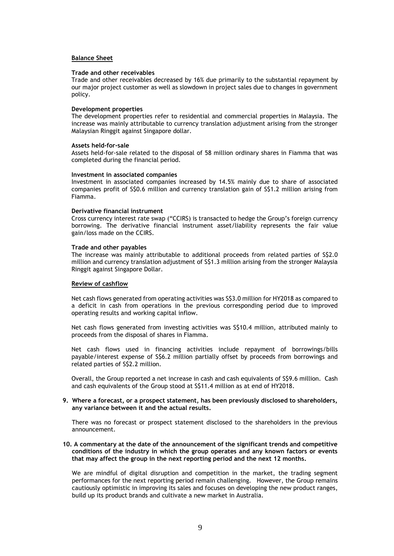# **Balance Sheet**

### **Trade and other receivables**

Trade and other receivables decreased by 16% due primarily to the substantial repayment by our major project customer as well as slowdown in project sales due to changes in government policy.

### **Development properties**

The development properties refer to residential and commercial properties in Malaysia. The increase was mainly attributable to currency translation adjustment arising from the stronger Malaysian Ringgit against Singapore dollar.

### **Assets held-for-sale**

Assets held-for-sale related to the disposal of 58 million ordinary shares in Fiamma that was completed during the financial period.

#### **Investment in associated companies**

Investment in associated companies increased by 14.5% mainly due to share of associated companies profit of S\$0.6 million and currency translation gain of S\$1.2 million arising from Fiamma.

#### **Derivative financial instrument**

Cross currency interest rate swap ("CCIRS) is transacted to hedge the Group's foreign currency borrowing. The derivative financial instrument asset/liability represents the fair value gain/loss made on the CCIRS.

#### **Trade and other payables**

The increase was mainly attributable to additional proceeds from related parties of S\$2.0 million and currency translation adjustment of S\$1.3 million arising from the stronger Malaysia Ringgit against Singapore Dollar.

### **Review of cashflow**

Net cash flows generated from operating activities was S\$3.0 million for HY2018 as compared to a deficit in cash from operations in the previous corresponding period due to improved operating results and working capital inflow.

Net cash flows generated from investing activities was S\$10.4 million, attributed mainly to proceeds from the disposal of shares in Fiamma.

Net cash flows used in financing activities include repayment of borrowings/bills payable/interest expense of S\$6.2 million partially offset by proceeds from borrowings and related parties of S\$2.2 million.

Overall, the Group reported a net increase in cash and cash equivalents of S\$9.6 million. Cash and cash equivalents of the Group stood at S\$11.4 million as at end of HY2018.

# **9. Where a forecast, or a prospect statement, has been previously disclosed to shareholders, any variance between it and the actual results.**

There was no forecast or prospect statement disclosed to the shareholders in the previous announcement.

## **10. A commentary at the date of the announcement of the significant trends and competitive conditions of the industry in which the group operates and any known factors or events that may affect the group in the next reporting period and the next 12 months.**

We are mindful of digital disruption and competition in the market, the trading segment performances for the next reporting period remain challenging. However, the Group remains cautiously optimistic in improving its sales and focuses on developing the new product ranges, build up its product brands and cultivate a new market in Australia.